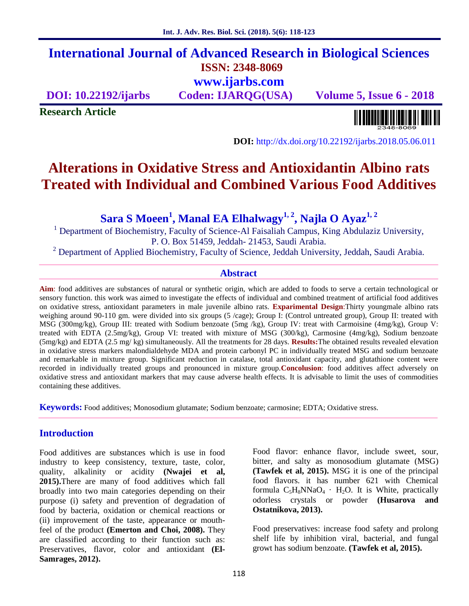## **International Journal of Advanced Research in Biological Sciences ISSN: 2348-8069 www.ijarbs.com**

**DOI: 10.22192/ijarbs Coden: IJARQG(USA) Volume 5, Issue 6 - 2018**

**Research Article**

**DOI:** http://dx.doi.org/10.22192/ijarbs.2018.05.06.011

# **Alterations in Oxidative Stress and Antioxidantin Albino rats Treated with Individual and Combined Various Food Additives**

**Sara S Moeen<sup>1</sup> , Manal EA Elhalwagy1, 2, Najla O Ayaz1, 2**

<sup>1</sup> Department of Biochemistry, Faculty of Science-Al Faisaliah Campus, King Abdulaziz University, P. O. Box 51459, Jeddah- 21453, Saudi Arabia.

<sup>2</sup> Department of Applied Biochemistry, Faculty of Science, Jeddah University, Jeddah, Saudi Arabia.

#### **Abstract**

**Aim**: food additives are substances of natural or synthetic origin, which are added to foods to serve a certain technological or sensory function. this work was aimed to investigate the effects of individual and combined treatment of artificial food additives on oxidative stress, antioxidant parameters in male juvenile albino rats. **Exparimental Design**:Thirty youngmale albino rats weighing around 90-110 gm. were divided into six groups (5 /cage); Group I: (Control untreated group), Group II: treated with MSG (300mg/kg), Group III: treated with Sodium benzoate (5mg /kg), Group IV: treat with Carmoisine (4mg/kg), Group V: treated with EDTA (2.5mg/kg), Group VI: treated with mixture of MSG (300/kg), Carmosine (4mg/kg), Sodium benzoate (5mg/kg) and EDTA (2.5 mg/ kg) simultaneously. All the treatments for 28 days. **Results:**The obtained results revealed elevation in oxidative stress markers malondialdehyde MDA and protein carbonyl PC in individually treated MSG and sodium benzoate and remarkable in mixture group. Significant reduction in catalase, total antioxidant capacity, and glutathione content were recorded in individually treated groups and pronounced in mixture group.**Concolusion**: food additives affect adversely on oxidative stress and antioxidant markers that may cause adverse health effects. It is advisable to limit the uses of commodities containing these additives.

**Keywords:** Food additives; Monosodium glutamate; Sodium benzoate; carmosine; EDTA; Oxidative stress.

#### **Introduction**

Food additives are substances which is use in food industry to keep consistency, texture, taste, color, quality, alkalinity or acidity **(Nwajei et al, 2015).**There are many of food additives which fall broadly into two main categories depending on their purpose (i) safety and prevention of degradation of food by bacteria, oxidation or chemical reactions or (ii) improvement of the taste, appearance or mouthfeel of the product **(Emerton and Choi, 2008).** They are classified according to their function such as: Preservatives, flavor, color and antioxidant **(El- Samrages, 2012).**

Food flavor: enhance flavor, include sweet, sour, bitter, and salty as monosodium glutamate (MSG) **(Tawfek et al, 2015).** MSG it is one of the principal food flavors. it has number 621 with Chemical formula  $C_5H_8NNaO_4$  · H<sub>2</sub>O. It is White, practically odorless crystals or powder **(Husarova and Ostatnikova, 2013).**

Food preservatives: increase food safety and prolong shelf life by inhibition viral, bacterial, and fungal growt has sodium benzoate. **(Tawfek et al, 2015).**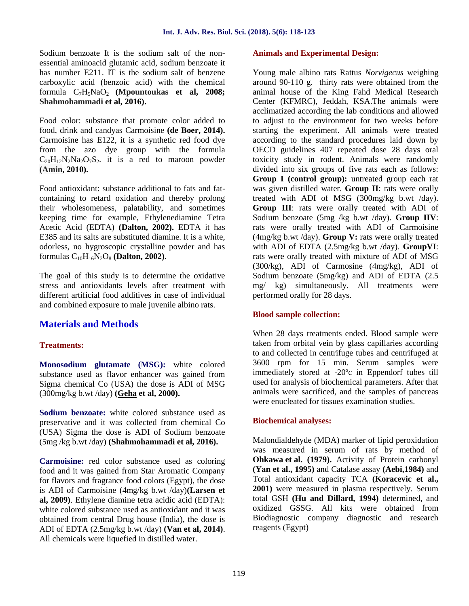Sodium benzoate It is the sodium salt of the non essential aminoacid glutamic acid, sodium benzoate it has number E211. IT is the sodium salt of benzene carboxylic acid (benzoic acid) with the chemical formula C7H5NaO<sup>2</sup> **(Mpountoukas et al, 2008; Shahmohammadi et al, 2016).**

Food color: substance that promote color added to food, drink and candyas Carmoisine **(de Boer, 2014).** Carmoisine has E122, it is a synthetic red food dye from the azo dye group with the formula  $C_{20}H_{12}N_2N_3O_7S_2$  it is a red to maroon powder **(Amin, 2010).**

Food antioxidant: substance additional to fats and fat containing to retard oxidation and thereby prolong their wholesomeness, palatability, and sometimes keeping time for example, Ethylenediamine Tetra Acetic Acid (EDTA) **(Dalton, 2002).** EDTA it has E385 and its salts are substituted diamine. It is a white, odorless, no hygroscopic crystalline powder and has formulas  $C_{10}H_{16}N_2O_8$  (**Dalton, 2002**).

The goal of this study is to determine the oxidative stress and antioxidants levels after treatment with different artificial food additives in case of individual and combined exposure to male juvenile albino rats.

## **Materials and Methods**

#### **Treatments:**

**Monosodium glutamate (MSG):** white colored substance used as flavor enhancer was gained from Sigma chemical Co (USA) the dose is ADI of MSG (300mg/kg b.wt /day) **(Geha et al, 2000).**

**Sodium benzoate:** white colored substance used as preservative and it was collected from chemical Co (USA) Sigma the dose is ADI of Sodium benzoate (5mg /kg b.wt /day) **(Shahmohammadi et al, 2016).**

**Carmoisine:** red color substance used as coloring food and it was gained from Star Aromatic Company for flavors and fragrance food colors (Egypt), the dose is ADI of Carmoisine (4mg/kg b.wt /day)**(Larsen et al, 2009)**. Ethylene diamine tetra acidic acid (EDTA): white colored substance used as antioxidant and it was obtained from central Drug house (India), the dose is ADI of EDTA (2.5mg/kg b.wt /day) **(Van et al, 2014)**. All chemicals were liquefied in distilled water.

#### **Animals and Experimental Design:**

Young male albino rats Rattus *Norvigecus* weighing around 90-110 g. thirty rats were obtained from the animal house of the King Fahd Medical Research Center (KFMRC), Jeddah, KSA.The animals were acclimatized according the lab conditions and allowed to adjust to the environment for two weeks before starting the experiment. All animals were treated according to the standard procedures laid down by OECD guidelines 407 repeated dose 28 days oral toxicity study in rodent. Animals were randomly divided into six groups of five rats each as follows: **Group I (control group):** untreated group each rat was given distilled water. **Group II**: rats were orally treated with ADI of MSG (300mg/kg b.wt /day). **Group III**: rats were orally treated with ADI of Sodium benzoate (5mg /kg b.wt /day). **Group IIV**: rats were orally treated with ADI of Carmoisine (4mg/kg b.wt /day). **Group V:** rats were orally treated with ADI of EDTA (2.5mg/kg b.wt /day). **GroupVI**: rats were orally treated with mixture of ADI of MSG  $(300/kg)$ , ADI of Carmosine  $(4mg/kg)$ , ADI of Sodium benzoate (5mg/kg) and ADI of EDTA (2.5 mg/ kg) simultaneously. All treatments were performed orally for 28 days.

#### **Blood sample collection:**

When 28 days treatments ended. Blood sample were taken from orbital vein by glass capillaries according to and collected in centrifuge tubes and centrifuged at 3600 rpm for 15 min. Serum samples were immediately stored at -20ºc in Eppendorf tubes till used for analysis of biochemical parameters. After that animals were sacrificed, and the samples of pancreas were enucleated for tissues examination studies.

#### **Biochemical analyses:**

Malondialdehyde (MDA) marker of lipid peroxidation was measured in serum of rats by method of **Ohkawa et al. (1979).** Activity of Protein carbonyl **(Yan et al., 1995)** and Catalase assay **(Aebi,1984)** and Total antioxidant capacity TCA **(Koracevic et al., 2001)** were measured in plasma respectively. Serum total GSH **(Hu and Dillard, 1994)** determined, and oxidized GSSG. All kits were obtained from Biodiagnostic company diagnostic and research reagents (Egypt)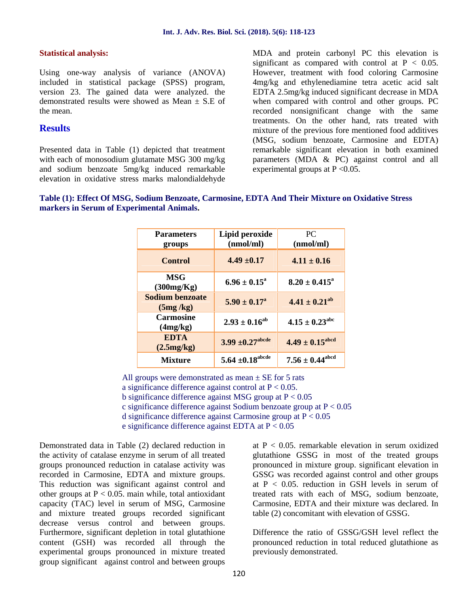#### **Statistical analysis:**

Using one-way analysis of variance (ANOVA) included in statistical package (SPSS) program, version 23. The gained data were analyzed. the demonstrated results were showed as Mean  $\pm$  S.E of the mean.

#### **Results**

Presented data in Table (1) depicted that treatment with each of monosodium glutamate MSG 300 mg/kg and sodium benzoate 5mg/kg induced remarkable elevation in oxidative stress marks malondialdehyde MDA and protein carbonyl PC this elevation is significant as compared with control at  $P < 0.05$ . However, treatment with food coloring Carmosine 4mg/kg and ethylenediamine tetra acetic acid salt EDTA 2.5mg/kg induced significant decrease in MDA when compared with control and other groups. PC recorded nonsignificant change with the same treatments. On the other hand, rats treated with mixture of the previous fore mentioned food additives (MSG, sodium benzoate, Carmosine and EDTA) remarkable significant elevation in both examined parameters (MDA & PC) against control and all experimental groups at  $P \le 0.05$ .



| <b>Parameters</b><br>groups        | Lipid peroxide<br>(nmol/ml)    | PC.<br>(nmol/ml)              |  |
|------------------------------------|--------------------------------|-------------------------------|--|
| <b>Control</b>                     | $4.49 \pm 0.17$                | $4.11 \pm 0.16$               |  |
| <b>MSG</b><br>(300mg/Kg)           | $6.96 \pm 0.15^{\circ}$        | $8.20 \pm 0.415^a$            |  |
| <b>Sodium benzoate</b><br>(5mg/kg) | $5.90 \pm 0.17^{\circ}$        | $4.41 \pm 0.21^{ab}$          |  |
| <b>Carmosine</b><br>(4mg/kg)       | $2.93 \pm 0.16^{ab}$           | $4.15 \pm 0.23^{\text{abc}}$  |  |
| <b>EDTA</b><br>(2.5mg/kg)          | $3.99 \pm 0.27^{\text{abcde}}$ | $4.49 \pm 0.15^{\text{abcd}}$ |  |
| <b>Mixture</b>                     | $5.64 \pm 0.18^{\rm abcde}$    | $7.56 \pm 0.44^{\text{abcd}}$ |  |

All groups were demonstrated as mean  $\pm$  SE for 5 rats a significance difference against control at  $P < 0.05$ . b significance difference against MSG group at  $P < 0.05$ c significance difference against Sodium benzoate group at P < 0.05 d significance difference against Carmosine group at P < 0.05 e significance difference against EDTA at P < 0.05

Demonstrated data in Table (2) declared reduction in the activity of catalase enzyme in serum of all treated groups pronounced reduction in catalase activity was recorded in Carmosine, EDTA and mixture groups. This reduction was significant against control and other groups at  $P < 0.05$ . main while, total antioxidant capacity (TAC) level in serum of MSG, Carmosine and mixture treated groups recorded significant decrease versus control and between groups. Furthermore, significant depletion in total glutathione content (GSH) was recorded all through the experimental groups pronounced in mixture treated group significant against control and between groups

at  $P < 0.05$ . remarkable elevation in serum oxidized glutathione GSSG in most of the treated groups pronounced in mixture group. significant elevation in GSSG was recorded against control and other groups at  $P < 0.05$ , reduction in GSH levels in serum of treated rats with each of MSG, sodium benzoate, Carmosine, EDTA and their mixture was declared. In table (2) concomitant with elevation of GSSG.

Difference the ratio of GSSG/GSH level reflect the pronounced reduction in total reduced glutathione as previously demonstrated.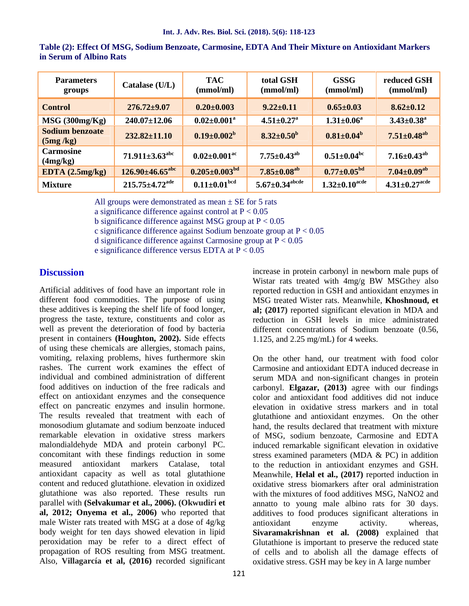| <b>Parameters</b><br>groups        | Catalase (U/L)                   | <b>TAC</b><br>(mmol/ml)        | total GSH<br>(mmol/ml)           | <b>GSSG</b><br>(mmol/ml)   | reduced GSH<br>(mmol/ml)      |
|------------------------------------|----------------------------------|--------------------------------|----------------------------------|----------------------------|-------------------------------|
| <b>Control</b>                     | $276.72 \pm 9.07$                | $0.20 \pm 0.003$               | $9.22 \pm 0.11$                  | $0.65 \pm 0.03$            | $8.62 \pm 0.12$               |
| $MSG$ (300mg/Kg)                   | $240.07 \pm 12.06$               | $0.02 \pm 0.001^a$             | $4.51 \pm 0.27$ <sup>a</sup>     | $1.31 \pm 0.06^a$          | $3.43 \pm 0.38$ <sup>a</sup>  |
| <b>Sodium benzoate</b><br>(5mg/kg) | $232.82 \pm 11.10$               | $0.19 \pm 0.002^b$             | $8.32 \pm 0.50^{\rm b}$          | $0.81 \pm 0.04^b$          | $7.51 \pm 0.48$ <sup>ab</sup> |
| <b>Carmosine</b><br>(4mg/kg)       | $71.911 \pm 3.63^{\text{abc}}$   | $0.02 \pm 0.001$ <sup>ac</sup> | $7.75 \pm 0.43^\mathrm{ab}$      | $0.51 \pm 0.04^{\rm bc}$   | $7.16 \pm 0.43$ <sup>ab</sup> |
| EDTA $(2.5mg/kg)$                  | $126.90\pm46.65^{\text{abc}}$    | $0.205 \pm 0.003^{bd}$         | $7.85 \pm 0.08$ <sup>ab</sup>    | $0.77 \pm 0.05^{\rm bd}$   | $7.04 \pm 0.09$ <sup>ab</sup> |
| <b>Mixture</b>                     | $215.75 \pm 4.72$ <sup>ade</sup> | $0.11{\pm}0.01^{\rm bed}$      | $5.67 \pm 0.34^{\mathrm{abcde}}$ | $1.32 \pm 0.10^{\rm acde}$ | $4.31 \pm 0.27^{\rm acde}$    |

**Table (2): Effect Of MSG, Sodium Benzoate, Carmosine, EDTA And Their Mixture on Antioxidant Markers in Serum of Albino Rats**

All groups were demonstrated as mean  $\pm$  SE for 5 rats

a significance difference against control at  $P < 0.05$ 

b significance difference against MSG group at  $P < 0.05$ 

c significance difference against Sodium benzoate group at P < 0.05

d significance difference against Carmosine group at P < 0.05

e significance difference versus EDTA at P < 0.05

## **Discussion**

Artificial additives of food have an important role in different food commodities. The purpose of using these additives is keeping the shelf life of food longer, progress the taste, texture, constituents and color as well as prevent the deterioration of food by bacteria present in containers **(Houghton, 2002).** Side effects of using these chemicals are allergies, stomach pains, vomiting, relaxing problems, hives furthermore skin rashes. The current work examines the effect of individual and combined administration of different food additives on induction of the free radicals and effect on antioxidant enzymes and the consequence effect on pancreatic enzymes and insulin hormone. The results revealed that treatment with each of monosodium glutamate and sodium benzoate induced remarkable elevation in oxidative stress markers malondialdehyde MDA and protein carbonyl PC. concomitant with these findings reduction in some measured antioxidant markers Catalase, total antioxidant capacity as well as total glutathione content and reduced glutathione. elevation in oxidized glutathione was also reported. These results run parallel with **(Selvakumar et al., 2006). (Okwudiri et al, 2012; Onyema et al., 2006)** who reported that male Wister rats treated with MSG at a dose of 4g/kg body weight for ten days showed elevation in lipid peroxidation may be refer to a direct effect of propagation of ROS resulting from MSG treatment. Also, **Villagarcía et al, (2016)** recorded significant increase in protein carbonyl in newborn male pups of Wistar rats treated with 4mg/g BW MSGthey also reported reduction in GSH and antioxidant enzymes in MSG treated Wister rats. Meanwhile, **Khoshnoud, et al; (2017)** reported significant elevation in MDA and reduction in GSH levels in mice administrated different concentrations of Sodium benzoate (0.56, 1.125, and 2.25 mg/mL) for 4 weeks.

On the other hand, our treatment with food color Carmosine and antioxidant EDTA induced decrease in serum MDA and non-significant changes in protein carbonyl. **Elgazar, (2013)** agree with our findings color and antioxidant food additives did not induce elevation in oxidative stress markers and in total glutathione and antioxidant enzymes. On the other hand, the results declared that treatment with mixture of MSG, sodium benzoate, Carmosine and EDTA induced remarkable significant elevation in oxidative stress examined parameters (MDA & PC) in addition to the reduction in antioxidant enzymes and GSH. Meanwhile, **Helal et al., (2017)** reported induction in oxidative stress biomarkers after oral administration with the mixtures of food additives MSG, NaNO2 and annatto to young male albino rats for 30 days. additives to food produces significant alterations in antioxidant enzyme activity. whereas, **Sivaramakrishnan et al. (2008)** explained that Glutathione is important to preserve the reduced state of cells and to abolish all the damage effects of oxidative stress. GSH may be key in A large number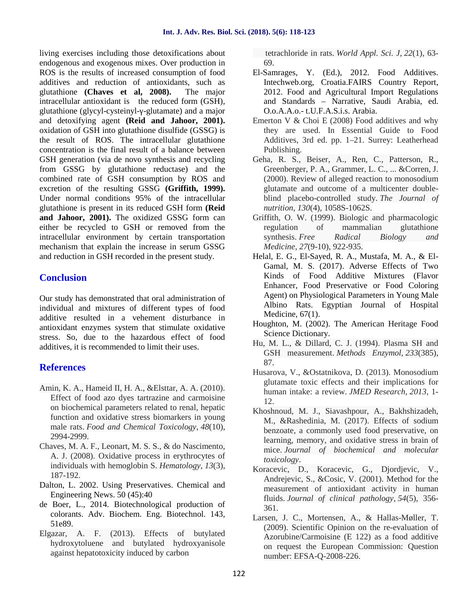living exercises including those detoxifications about endogenous and exogenous mixes. Over production in ROS is the results of increased consumption of food additives and reduction of antioxidants, such as glutathione **(Chaves et al, 2008).** The major intracellular antioxidant is the reduced form (GSH), glutathione (glycyl-cysteinyl- -glutamate) and a major and detoxifying agent **(Reid and Jahoor, 2001).** oxidation of GSH into glutathione disulfide (GSSG) is the result of ROS. The intracellular glutathione concentration is the final result of a balance between GSH generation (via de novo synthesis and recycling from GSSG by glutathione reductase) and the combined rate of GSH consumption by ROS and excretion of the resulting GSSG **(Griffith, 1999).** Under normal conditions 95% of the intracellular glutathione is present in its reduced GSH form **(Reid and Jahoor, 2001).** The oxidized GSSG form can either be recycled to GSH or removed from the intracellular environment by certain transportation mechanism that explain the increase in serum GSSG and reduction in GSH recorded in the present study.

## **Conclusion**

Our study has demonstrated that oral administration of individual and mixtures of different types of food additive resulted in a vehement disturbance in antioxidant enzymes system that stimulate oxidative stress. So, due to the hazardous effect of food additives, it is recommended to limit their uses.

## **References**

- Amin, K. A., Hameid II, H. A., &Elsttar, A. A. (2010). Effect of food azo dyes tartrazine and carmoisine on biochemical parameters related to renal, hepatic function and oxidative stress biomarkers in young male rats. *Food and Chemical Toxicology*, *48*(10), 2994-2999.
- Chaves, M. A. F., Leonart, M. S. S., & do Nascimento, A. J. (2008). Oxidative process in erythrocytes of individuals with hemoglobin S. *Hematology*, *13*(3), 187-192.
- Dalton, L. 2002. Using Preservatives. Chemical and Engineering News. 50 (45):40
- de Boer, L., 2014. Biotechnological production of colorants. Adv. Biochem. Eng. Biotechnol. 143, 51e89.
- Elgazar, A. F. (2013). Effects of butylated hydroxytoluene and butylated hydroxyanisole against hepatotoxicity induced by carbon

tetrachloride in rats. *World Appl. Sci. J*, *22*(1), 63- 69.

- El-Samrages, Y. (Ed.), 2012. Food Additives. Intechweb.org, Croatia.FAIRS Country Report, 2012. Food and Agricultural Import Regulations and Standards – Narrative, Saudi Arabia, ed. O.o.A.A.o.- t.U.F.A.S.i.s. Arabia.
- Emerton V  $& Choi E (2008) Food additives and why$ they are used. In Essential Guide to Food Additives, 3rd ed. pp. 1–21. Surrey: Leatherhead Publishing.
- Geha, R. S., Beiser, A., Ren, C., Patterson, R., Greenberger, P. A., Grammer, L. C., ... &Corren, J. (2000). Review of alleged reaction to monosodium glutamate and outcome of a multicenter double blind placebo-controlled study. *The Journal of nutrition*, *130*(4), 1058S-1062S.
- Griffith, O. W. (1999). Biologic and pharmacologic regulation of mammalian glutathione synthesis. *Free Radical Biology and Medicine*, *27*(9-10), 922-935.
- Helal, E. G., El-Sayed, R. A., Mustafa, M. A., & El- Gamal, M. S. (2017). Adverse Effects of Two Kinds of Food Additive Mixtures (Flavor Enhancer, Food Preservative or Food Coloring Agent) on Physiological Parameters in Young Male Albino Rats. Egyptian Journal of Hospital Medicine, 67(1).
- Houghton, M. (2002). The American Heritage Food Science Dictionary.
- Hu, M. L., & Dillard, C. J. (1994). Plasma SH and GSH measurement. *Methods Enzymol*, *233*(385), 87.
- Husarova, V., &Ostatnikova, D. (2013). Monosodium glutamate toxic effects and their implications for human intake: a review. *JMED Research*, *2013*, 1- 12.
- Khoshnoud, M. J., Siavashpour, A., Bakhshizadeh, M., &Rashedinia, M. (2017). Effects of sodium benzoate, a commonly used food preservative, on learning, memory, and oxidative stress in brain of mice. *Journal of biochemical and molecular toxicology*.
- Koracevic, D., Koracevic, G., Djordjevic, V., Andrejevic, S., &Cosic, V. (2001). Method for the measurement of antioxidant activity in human fluids. *Journal of clinical pathology*, *54*(5), 356- 361.
- Larsen, J. C., Mortensen, A., & Hallas-Møller, T. (2009). Scientific Opinion on the re-evaluation of Azorubine/Carmoisine (E 122) as a food additive on request the European Commission: Question number: EFSA-Q-2008-226.